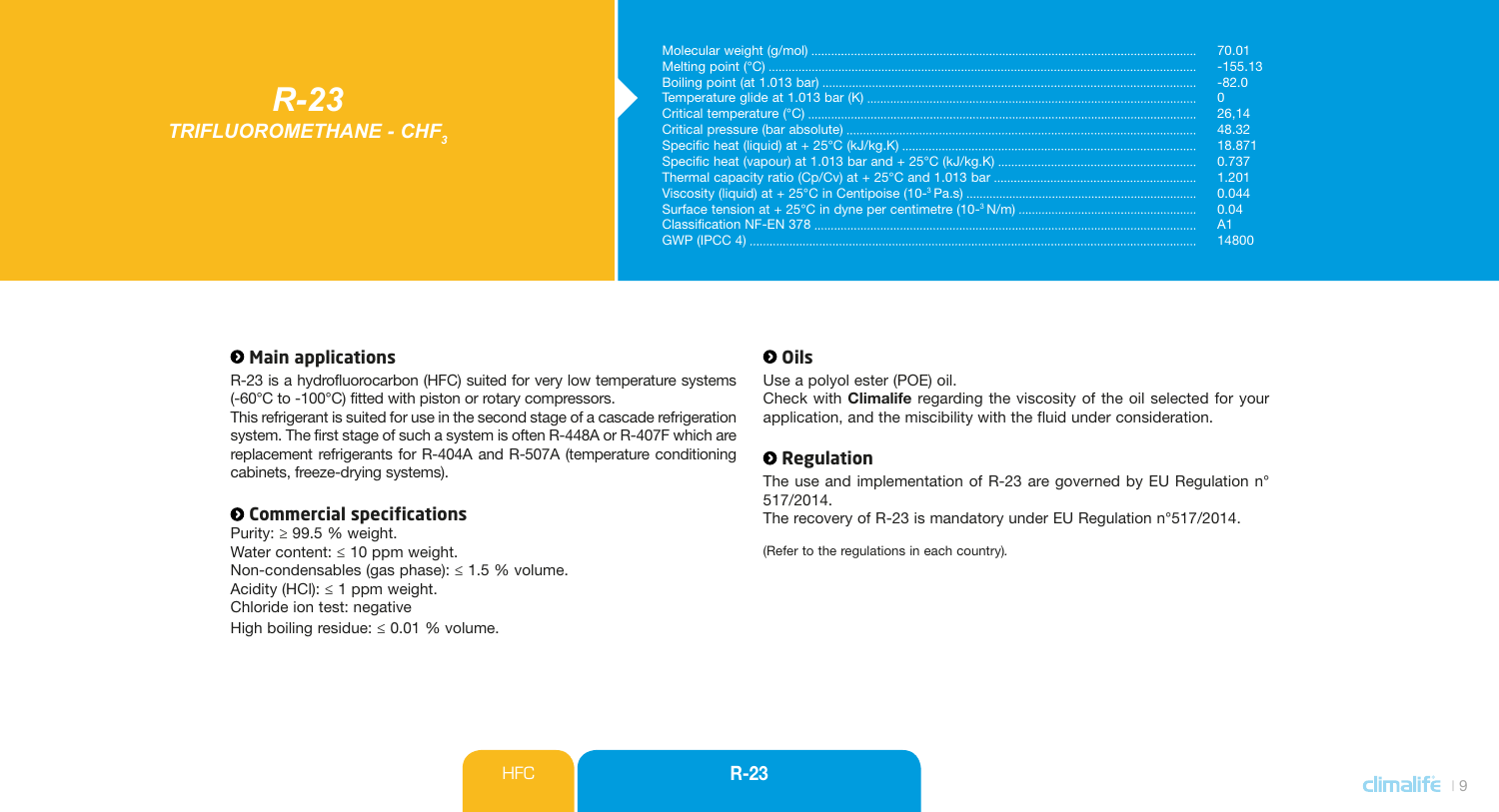# *R-23 TRIFLUOROMETHANE - CHF3*

| 70.01     |
|-----------|
| $-155.13$ |
| $-820$    |
| $\Omega$  |
| 26.14     |
| 48.32     |
| 18871     |
| 0.737     |
| 1,201     |
| 0.044     |
| 0.04      |
| A1        |
| 14800     |

#### $\Theta$  Main applications

R-23 is a hydrofluorocarbon (HFC) suited for very low temperature systems (-60°C to -100°C) fitted with piston or rotary compressors.

This refrigerant is suited for use in the second stage of a cascade refrigeration system. The first stage of such a system is often R-448A or R-407F which are replacement refrigerants for R-404A and R-507A (temperature conditioning cabinets, freeze-drying systems).

### **Commercial specifications**

Purity:  $\geq 99.5$  % weight. Water content:  $\leq 10$  ppm weight. Non-condensables (gas phase): ≤ 1.5 % volume. Acidity (HCl):  $\leq 1$  ppm weight. Chloride ion test: negative High boiling residue: < 0.01 % volume.

## **Oils**

Use a polyol ester (POE) oil.

Check with Climalife regarding the viscosity of the oil selected for your application, and the miscibility with the fluid under consideration.

#### $Q$  Regulation

The use and implementation of R-23 are governed by EU Regulation n° 517/2014.

The recovery of R-23 is mandatory under EU Regulation n°517/2014.

(Refer to the regulations in each country)*.*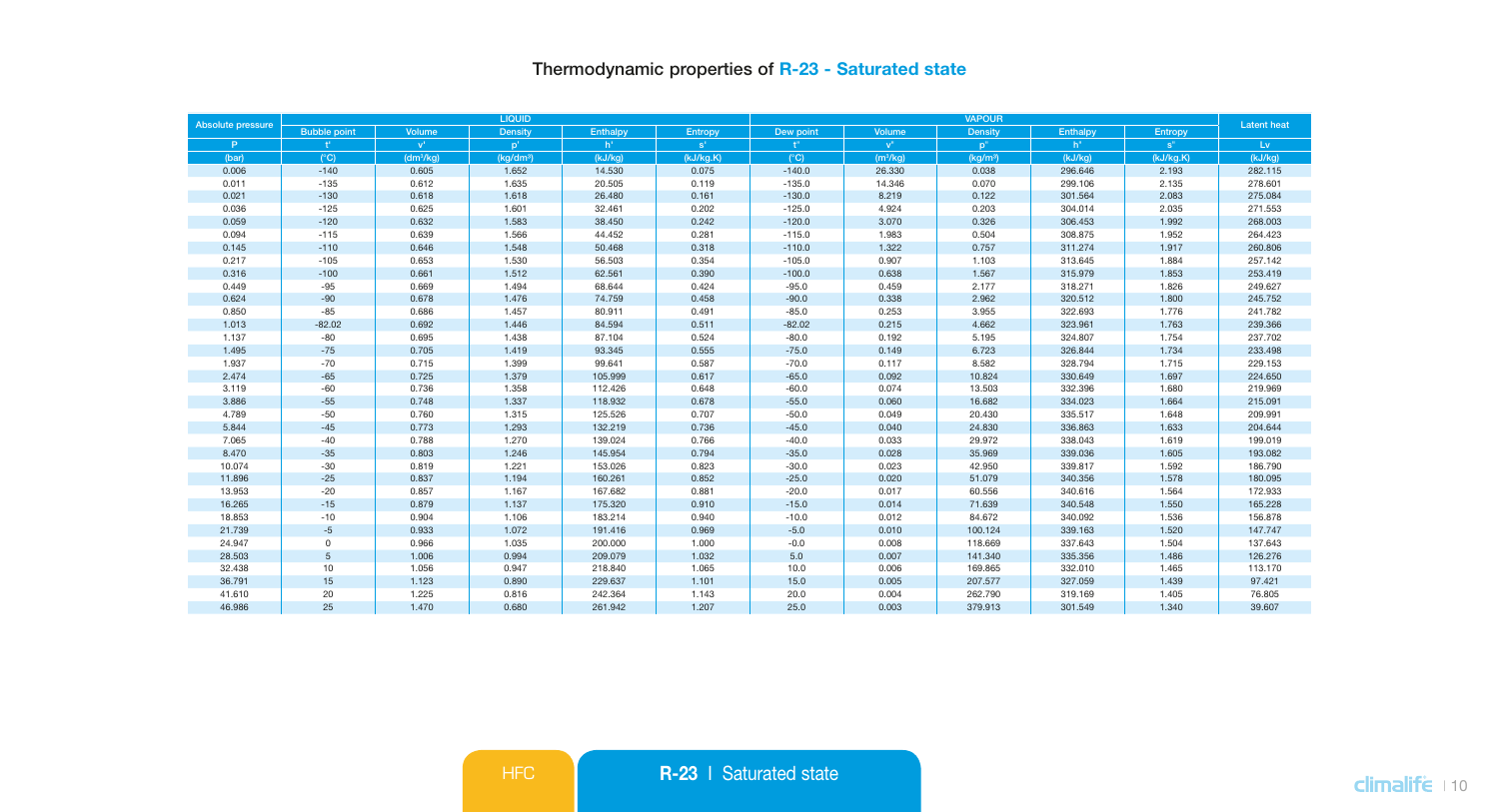# Thermodynamic properties of R-23 - Saturated state

| Absolute pressure |                           |                           | LIQUID                |          |             |               | <b>Latent heat</b>   |                      |          |                |         |
|-------------------|---------------------------|---------------------------|-----------------------|----------|-------------|---------------|----------------------|----------------------|----------|----------------|---------|
|                   | <b>Bubble point</b>       | Volume                    | Density               | Enthalpy | Entropy     | Dew point     | Volume               | Density              | Enthalpy | Entropy        |         |
| P.                | $\mathbf{f}^{\mathbf{r}}$ | $\mathbf{v}^{\mathsf{r}}$ | p'                    | h'       | $S^{\perp}$ | ť.            | $v^{n}$              | p <sup>n</sup>       | $h^*$    | $\mathbf{s}^*$ | Lv      |
| (bar)             | $(^{\circ}C)$             | (dm <sup>3</sup> /kg)     | (kg/dm <sup>3</sup> ) | (kJ/kg)  | (kJ/kg.K)   | $(^{\circ}C)$ | (m <sup>3</sup> /kg) | (kq/m <sup>3</sup> ) | (kJ/kg)  | (kJ/kg.K)      | (kJ/kg) |
| 0.006             | $-140$                    | 0.605                     | 1.652                 | 14,530   | 0.075       | $-140.0$      | 26,330               | 0.038                | 296.646  | 2.193          | 282.115 |
| 0.011             | $-135$                    | 0.612                     | 1.635                 | 20.505   | 0.119       | $-135.0$      | 14.346               | 0.070                | 299.106  | 2.135          | 278.601 |
| 0.021             | $-130$                    | 0.618                     | 1.618                 | 26.480   | 0.161       | $-130.0$      | 8.219                | 0.122                | 301.564  | 2.083          | 275.084 |
| 0.036             | $-125$                    | 0.625                     | 1.601                 | 32.461   | 0.202       | $-125.0$      | 4.924                | 0.203                | 304.014  | 2.035          | 271.553 |
| 0.059             | $-120$                    | 0.632                     | 1.583                 | 38.450   | 0.242       | $-120.0$      | 3.070                | 0.326                | 306.453  | 1.992          | 268.003 |
| 0.094             | $-115$                    | 0.639                     | 1,566                 | 44.452   | 0.281       | $-115.0$      | 1.983                | 0.504                | 308.875  | 1.952          | 264.423 |
| 0.145             | $-110$                    | 0.646                     | 1.548                 | 50,468   | 0.318       | $-110.0$      | 1.322                | 0.757                | 311.274  | 1.917          | 260,806 |
| 0.217             | $-105$                    | 0.653                     | 1.530                 | 56.503   | 0.354       | $-105.0$      | 0.907                | 1.103                | 313.645  | 1.884          | 257.142 |
| 0.316             | $-100$                    | 0.661                     | 1.512                 | 62.561   | 0.390       | $-100.0$      | 0.638                | 1.567                | 315.979  | 1.853          | 253.419 |
| 0.449             | $-95$                     | 0.669                     | 1.494                 | 68.644   | 0.424       | $-95.0$       | 0.459                | 2.177                | 318.271  | 1.826          | 249,627 |
| 0.624             | $-90$                     | 0.678                     | 1.476                 | 74.759   | 0.458       | $-90.0$       | 0.338                | 2.962                | 320.512  | 1.800          | 245.752 |
| 0.850             | $-85$                     | 0.686                     | 1.457                 | 80.911   | 0.491       | $-85.0$       | 0.253                | 3.955                | 322.693  | 1.776          | 241.782 |
| 1.013             | $-82.02$                  | 0.692                     | 1.446                 | 84.594   | 0.511       | $-82.02$      | 0.215                | 4.662                | 323.961  | 1.763          | 239.366 |
| 1.137             | $-80$                     | 0.695                     | 1.438                 | 87.104   | 0.524       | $-80.0$       | 0.192                | 5.195                | 324.807  | 1.754          | 237.702 |
| 1.495             | $-75$                     | 0.705                     | 1.419                 | 93.345   | 0.555       | $-75.0$       | 0.149                | 6.723                | 326,844  | 1.734          | 233,498 |
| 1.937             | $-70$                     | 0.715                     | 1.399                 | 99.641   | 0.587       | $-70.0$       | 0.117                | 8.582                | 328.794  | 1.715          | 229.153 |
| 2.474             | $-65$                     | 0.725                     | 1.379                 | 105,999  | 0.617       | $-65.0$       | 0.092                | 10.824               | 330,649  | 1.697          | 224,650 |
| 3.119             | $-60$                     | 0.736                     | 1.358                 | 112.426  | 0.648       | $-60.0$       | 0.074                | 13.503               | 332.396  | 1.680          | 219.969 |
| 3.886             | $-55$                     | 0.748                     | 1.337                 | 118.932  | 0.678       | $-55.0$       | 0.060                | 16.682               | 334.023  | 1.664          | 215.091 |
| 4.789             | $-50$                     | 0.760                     | 1.315                 | 125.526  | 0.707       | $-50.0$       | 0.049                | 20.430               | 335.517  | 1.648          | 209.991 |
| 5.844             | $-45$                     | 0.773                     | 1.293                 | 132,219  | 0.736       | $-45.0$       | 0.040                | 24.830               | 336.863  | 1.633          | 204.644 |
| 7.065             | $-40$                     | 0.788                     | 1.270                 | 139.024  | 0.766       | $-40.0$       | 0.033                | 29.972               | 338.043  | 1.619          | 199.019 |
| 8,470             | $-35$                     | 0.803                     | 1.246                 | 145,954  | 0.794       | $-35.0$       | 0.028                | 35.969               | 339.036  | 1.605          | 193,082 |
| 10.074            | $-30$                     | 0.819                     | 1.221                 | 153.026  | 0.823       | $-30.0$       | 0.023                | 42.950               | 339.817  | 1.592          | 186.790 |
| 11.896            | $-25$                     | 0.837                     | 1.194                 | 160.261  | 0.852       | $-25.0$       | 0.020                | 51.079               | 340.356  | 1.578          | 180.095 |
| 13,953            | $-20$                     | 0.857                     | 1.167                 | 167,682  | 0.881       | $-20.0$       | 0.017                | 60.556               | 340,616  | 1.564          | 172,933 |
| 16.265            | $-15$                     | 0.879                     | 1.137                 | 175.320  | 0.910       | $-15.0$       | 0.014                | 71.639               | 340.548  | 1.550          | 165.228 |
| 18.853            | $-10$                     | 0.904                     | 1.106                 | 183.214  | 0.940       | $-10.0$       | 0.012                | 84.672               | 340.092  | 1.536          | 156.878 |
| 21,739            | $-5$                      | 0.933                     | 1.072                 | 191.416  | 0.969       | $-5.0$        | 0.010                | 100.124              | 339,163  | 1.520          | 147,747 |
| 24.947            | $\mathbf 0$               | 0.966                     | 1.035                 | 200.000  | 1.000       | $-0.0$        | 0.008                | 118.669              | 337.643  | 1.504          | 137.643 |
| 28,503            | 5                         | 1.006                     | 0.994                 | 209.079  | 1.032       | 5.0           | 0.007                | 141.340              | 335.356  | 1.486          | 126.276 |
| 32,438            | 10                        | 1.056                     | 0.947                 | 218,840  | 1.065       | 10.0          | 0.006                | 169.865              | 332.010  | 1.465          | 113,170 |
| 36.791            | 15                        | 1.123                     | 0.890                 | 229.637  | 1.101       | 15.0          | 0.005                | 207.577              | 327.059  | 1.439          | 97.421  |
| 41.610            | 20                        | 1.225                     | 0.816                 | 242,364  | 1.143       | 20.0          | 0.004                | 262.790              | 319.169  | 1.405          | 76.805  |
| 46,986            | 25                        | 1.470                     | 0.680                 | 261.942  | 1.207       | 25.0          | 0.003                | 379,913              | 301.549  | 1.340          | 39,607  |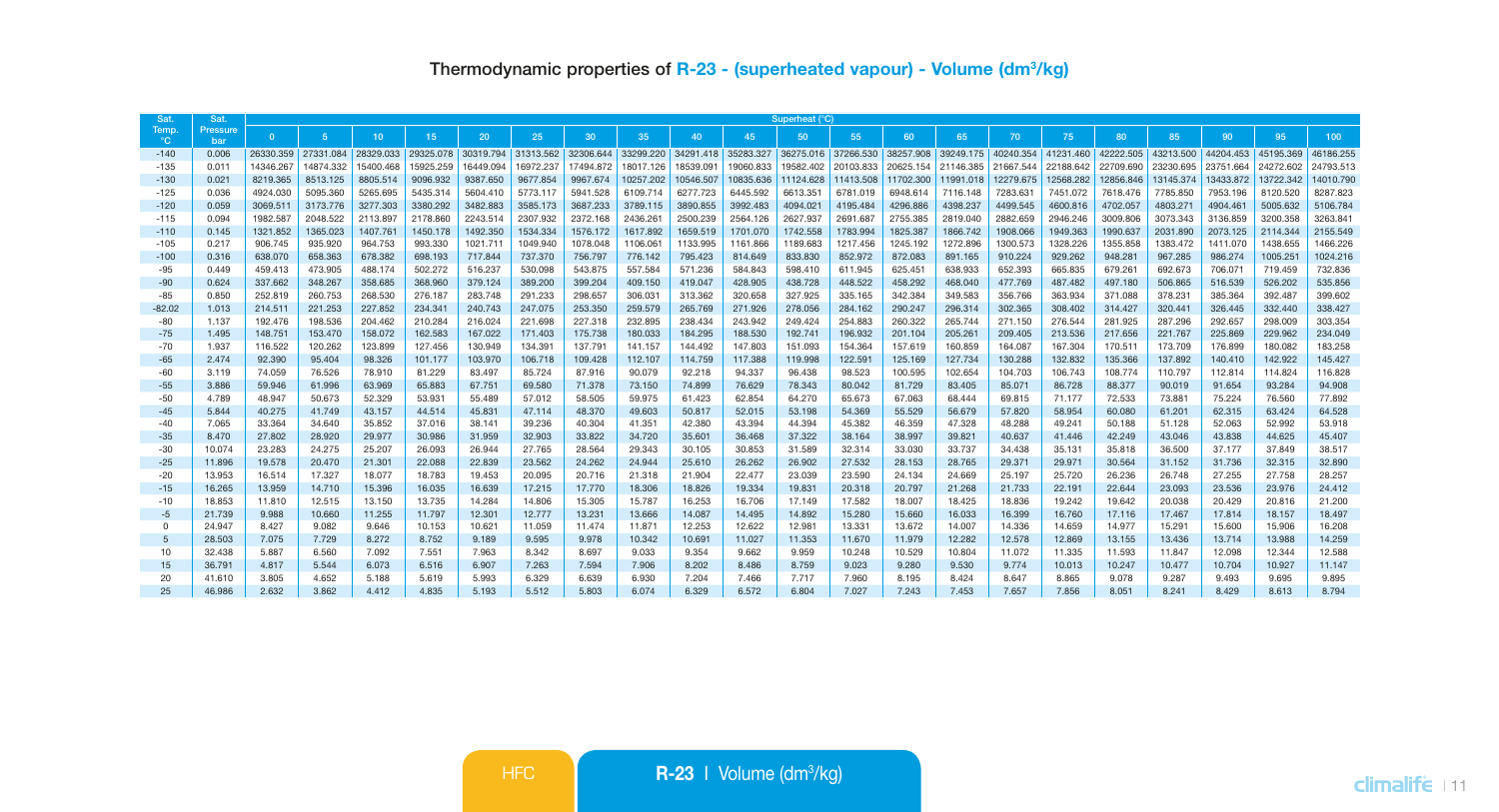| Sat                   | Sat.            | Superheat (°C)   |                  |                  |                  |                  |                  |                  |                  |                  |                  |                  |                     |                   |                     |                   |                   |                   |                   |                   |                   |                   |
|-----------------------|-----------------|------------------|------------------|------------------|------------------|------------------|------------------|------------------|------------------|------------------|------------------|------------------|---------------------|-------------------|---------------------|-------------------|-------------------|-------------------|-------------------|-------------------|-------------------|-------------------|
| Temp.<br>$^{\circ}$ C | Pressure<br>har | $\Omega$         | 5.               | 10               | 15 <sub>1</sub>  | 20               | 25               | 30               | 35               | 40               | 45               | 50               | 55 <sub>1</sub>     | 60                | 65                  | 70                | 75                | 80                | 85                | 90                | 95                | 100               |
| $-140$                | 0.006           | 26330.359        | 27331.084        | 28329.033        | 29325.078        | 30319.794        | 31313.562        | 32306.644        | 33299.220        | 34291.418        | 35283.327        |                  | 36275.016 37266.530 | 38257,908         | 39249.175 40240.354 |                   | 41231.460         | 42222.505         | 43213,500         | 44204.453         | 45195,369         | 46186,255         |
| $-135$                | 0.01            | 14346.267        | 14874.332        | 15400.468        | 15925.259        | 16449.094        | 16972.237        | 17494.872        | 18017.126        | 18539.091        | 19060.833        | 19582.402        | 20103.833           |                   | 20625.154 21146.385 | 21667.544         | 22188.642         | 22709.690         | 23230.695         | 23751.664         | 24272.602         | 24793.513         |
| $-130$                | 0.021           | 8219,365         | 8513,125         | 8805.514         | 9096.932         | 9387.650         | 9677.854         | 9967.674         | 10257.202        | 10546.507        | 10835.636        | 11124.628        | 11413.508           | 11702.300         | 11991.018           | 12279.675         | 12568.282         | 12856,846         | 13145.374         | 13433.872         | 13722.342         | 14010.790         |
| $-125$                | 0.036           | 4924.030         | 5095,360         | 5265.695         | 5435.314         | 5604,410         | 5773.117         | 5941.528         | 6109.714         | 6277,723         | 6445.592         | 6613.351         | 6781.019            | 6948.614          | 7116.148            | 7283.631          | 7451.072          | 7618,476          | 7785,850          | 7953.196          | 8120,520          | 8287,823          |
| $-120$                | 0.059           | 3069.511         | 3173,776         | 3277.303         | 3380.292         | 3482.883         | 3585.173         | 3687.233         | 3789.115         | 3890,855         | 3992.483         | 4094.021         | 4195.484            | 4296.886          | 4398.237            | 4499.545          | 4600.816          | 4702.057          | 4803.271          | 4904.461          | 5005.632          | 5106,784          |
| $-115$                | 0.094           | 1982.587         | 2048.522         | 2113,897         | 2178,860         | 2243.514         | 2307.932         | 2372.168         | 2436.261         | 2500.239         | 2564.126         | 2627.937         | 2691.687            | 2755.385          | 2819,040            | 2882.659          | 2946.246          | 3009,806          | 3073.343          | 3136,859          | 3200.358          | 3263.841          |
| $-110$                | 0.145           | 1321.852         | 1365.023         | 1407.761         | 1450.178         | 1492.350         | 1534.334         | 1576.172         | 1617.892         | 1659,519         | 1701.070         | 1742.558         | 1783.994            | 1825.387          | 1866,742            | 1908.066          | 1949.363          | 1990.637          | 2031.890          | 2073.125          | 2114.344          | 2155.549          |
| $-105$                | 0.217           | 906.745          | 935.920          | 964.753          | 993.330          | 1021.711         | 1049.940         | 1078.048         | 1106.061         | 1133,995         | 1161.866         | 1189.683         | 1217.456            | 1245.192          | 1272.896            | 1300.573          | 1328.226          | 1355.858          | 1383.472          | 1411.070          | 1438.655          | 1466.226          |
| $-100$                | 0.316           | 638,070          | 658.363          | 678.382          | 698.193          | 717,844          | 737,370          | 756,797          | 776.142          | 795.423          | 814,649          | 833,830          | 852.972             | 872.083           | 891.165             | 910.224           | 929.262           | 948,281           | 967.285           | 986,274           | 1005.251          | 1024.216          |
| $-95$                 | 0.449           | 459,413          | 473.905          | 488.174          | 502.272          | 516,237          | 530,098          | 543,875          | 557.584          | 571.236          | 584,843          | 598,410          | 611,945             | 625.451           | 638,933             | 652.393           | 665,835           | 679.261           | 692.673           | 706.071           | 719,459           | 732,836           |
| $-90$                 | 0.624           | 337.662          | 348.267          | 358,685          | 368.960          | 379.124          | 389.200          | 399.204          | 409.150          | 419,047          | 428,905          | 438,728          | 448.522             | 458.292           | 468.040             | 477.769           | 487,482           | 497.180           | 506.865           | 516,539           | 526,202           | 535,856           |
| $-85$                 | 0.850           | 252,819          | 260.753          | 268,530          | 276,187          | 283,748          | 291.233          | 298,657          | 306.031          | 313,362          | 320,658          | 327.925          | 335.165             | 342,384           | 349,583             | 356.766           | 363,934           | 371,088           | 378,231           | 385.364           | 392,487           | 399,602           |
| $-82.02$              | 1.013           | 214,511          | 221.253          | 227.852          | 234.341          | 240,743          | 247.075          | 253.350          | 259.579          | 265.769          | 271.926          | 278,056          | 284.162             | 290.247           | 296.314             | 302.365           | 308.402           | 314.427           | 320.441           | 326.445           | 332.440           | 338,427           |
| $-80$                 | 1.137           | 192,476          | 198,536          | 204.462          | 210.284          | 216.024          | 221.698          | 227,318          | 232.895          | 238,434          | 243.942          | 249,424          | 254.883             | 260,322           | 265,744             | 271.150           | 276,544           | 281.925           | 287.296           | 292.657           | 298,009           | 303,354           |
| $-75$                 | 1.495           | 148,751          | 153,470          | 158.072          | 162,583          | 167,022          | 171,403          | 175,738          | 180.033          | 184,295          | 188,530          | 192,741          | 196.932             | 201.104           | 205,261             | 209,405           | 213,536           | 217.656           | 221,767           | 225,869           | 229,962           | 234.049           |
| $-70$                 | 1.937           | 116,522          | 120.262          | 123,899          | 127.456          | 130,949          | 134.391          | 137,791          | 141.157          | 144,492          | 147,803          | 151.093          | 154.364             | 157,619           | 160,859             | 164,087           | 167,304           | 170,511           | 173,709           | 176,899           | 180,082           | 183,258           |
| $-65$                 | 2.474           | 92,390           | 95,404           | 98,326           | 101.177          | 103,970          | 106,718          | 109.428          | 112,107          | 114,759          | 117,388          | 119,998          | 122.591             | 125.169           | 127.734             | 130,288           | 132.832           | 135,366           | 137.892           | 140,410           | 142.922           | 145,427           |
| $-60$                 | 3.119<br>3,886  | 74.059<br>59,946 | 76,526<br>61,996 | 78,910<br>63,969 | 81.229<br>65,883 | 83,497<br>67,751 | 85.724<br>69,580 | 87,916<br>71,378 | 90.079<br>73.150 | 92.218<br>74,899 | 94.337<br>76,629 | 96.438<br>78,343 | 98.523<br>80.042    | 100.595<br>81,729 | 102.654<br>83,405   | 104.703<br>85,071 | 106.743<br>86,728 | 108,774<br>88,377 | 110.797<br>90.019 | 112,814<br>91.654 | 114,824<br>93,284 | 116,828<br>94.908 |
| $-55$                 |                 |                  |                  |                  |                  |                  |                  |                  |                  |                  |                  |                  |                     |                   |                     |                   |                   |                   |                   |                   |                   |                   |
| $-50$<br>$-45$        | 4.789<br>5.844  | 48,947<br>40.275 | 50.673<br>41,749 | 52.329<br>43.157 | 53,931<br>44,514 | 55,489<br>45,831 | 57.012<br>47.114 | 58,505<br>48,370 | 59.975<br>49.603 | 61,423<br>50,817 | 62.854<br>52.015 | 64.270<br>53.198 | 65,673<br>54.369    | 67.063<br>55,529  | 68,444<br>56,679    | 69.815<br>57,820  | 71.177<br>58,954  | 72.533<br>60,080  | 73,881<br>61.201  | 75.224<br>62.315  | 76,560<br>63.424  | 77.892<br>64.528  |
| $-40$                 | 7.065           | 33,364           | 34,640           | 35,852           | 37,016           | 38.141           | 39.236           | 40.304           | 41.351           | 42.380           | 43.394           | 44.394           | 45.382              | 46.359            | 47.328              | 48.288            | 49.241            | 50.188            | 51.128            | 52.063            | 52.992            | 53,918            |
| $-35$                 | 8.470           | 27,802           | 28,920           | 29,977           | 30,986           | 31,959           | 32,903           | 33,822           | 34.720           | 35,601           | 36,468           | 37,322           | 38.164              | 38,997            | 39.821              | 40.637            | 41,446            | 42.249            | 43.046            | 43.838            | 44.625            | 45.407            |
| $-30$                 | 10.074          | 23,283           | 24.275           | 25,207           | 26.093           | 26,944           | 27.765           | 28.564           | 29.343           | 30.105           | 30,853           | 31,589           | 32.314              | 33,030            | 33,737              | 34,438            | 35.131            | 35.818            | 36,500            | 37.177            | 37,849            | 38,517            |
| $-25$                 | 11,896          | 19,578           | 20,470           | 21,301           | 22.088           | 22,839           | 23.562           | 24,262           | 24.944           | 25.610           | 26.262           | 26,902           | 27.532              | 28.153            | 28.765              | 29.371            | 29.971            | 30.564            | 31.152            | 31.736            | 32.315            | 32,890            |
| $-20$                 | 13.953          | 16.514           | 17,327           | 18.077           | 18,783           | 19,453           | 20.095           | 20.716           | 21.318           | 21,904           | 22.477           | 23.039           | 23,590              | 24.134            | 24.669              | 25.197            | 25,720            | 26.236            | 26,748            | 27.255            | 27,758            | 28.257            |
| $-15$                 | 16.265          | 13,959           | 14,710           | 15,396           | 16.035           | 16,639           | 17.215           | 17,770           | 18,306           | 18.826           | 19.334           | 19,831           | 20.318              | 20,797            | 21,268              | 21,733            | 22.191            | 22.644            | 23.093            | 23.536            | 23,976            | 24.412            |
| $-10$                 | 18,853          | 11,810           | 12.515           | 13.150           | 13,735           | 14.284           | 14,806           | 15,305           | 15,787           | 16.253           | 16.706           | 17.149           | 17.582              | 18,007            | 18,425              | 18,836            | 19.242            | 19.642            | 20.038            | 20.429            | 20.816            | 21.200            |
| $-5$                  | 21,739          | 9.988            | 10.660           | 11,255           | 11.797           | 12,301           | 12,777           | 13.231           | 13.666           | 14.087           | 14,495           | 14,892           | 15,280              | 15,660            | 16,033              | 16.399            | 16,760            | 17.116            | 17,467            | 17.814            | 18.157            | 18.497            |
| $\Omega$              | 24.947          | 8.427            | 9.082            | 9.646            | 10.153           | 10.621           | 11.059           | 11.474           | 11.871           | 12.253           | 12.622           | 12.981           | 13.331              | 13,672            | 14.007              | 14.336            | 14.659            | 14,977            | 15.291            | 15,600            | 15,906            | 16,208            |
| $\overline{5}$        | 28,503          | 7.075            | 7.729            | 8.272            | 8.752            | 9.189            | 9.595            | 9.978            | 10.342           | 10.691           | 11.027           | 11.353           | 11,670              | 11.979            | 12.282              | 12,578            | 12,869            | 13.155            | 13,436            | 13,714            | 13,988            | 14.259            |
| 10                    | 32,438          | 5,887            | 6.560            | 7.092            | 7.551            | 7.963            | 8.342            | 8.697            | 9.033            | 9.354            | 9.662            | 9.959            | 10.248              | 10.529            | 10,804              | 11.072            | 11.335            | 11.593            | 11.847            | 12.098            | 12.344            | 12,588            |
| 15                    | 36,791          | 4,817            | 5.544            | 6.073            | 6.516            | 6.907            | 7.263            | 7.594            | 7,906            | 8.202            | 8.486            | 8.759            | 9.023               | 9.280             | 9.530               | 9.774             | 10.013            | 10.247            | 10,477            | 10,704            | 10.927            | 11.147            |
| 20                    | 41.610          | 3,805            | 4.652            | 5.188            | 5.619            | 5.993            | 6.329            | 6.639            | 6,930            | 7.204            | 7.466            | 7.717            | 7,960               | 8.195             | 8.424               | 8.647             | 8.865             | 9.078             | 9.287             | 9.493             | 9.695             | 9,895             |
| 25                    | 46,986          | 2.632            | 3.862            | 4.412            | 4.835            | 5.193            | 5.512            | 5.803            | 6.074            | 6.329            | 6.572            | 6.804            | 7.027               | 7.243             | 7.453               | 7.657             | 7.856             | 8.051             | 8.241             | 8.429             | 8.613             | 8.794             |
|                       |                 |                  |                  |                  |                  |                  |                  |                  |                  |                  |                  |                  |                     |                   |                     |                   |                   |                   |                   |                   |                   |                   |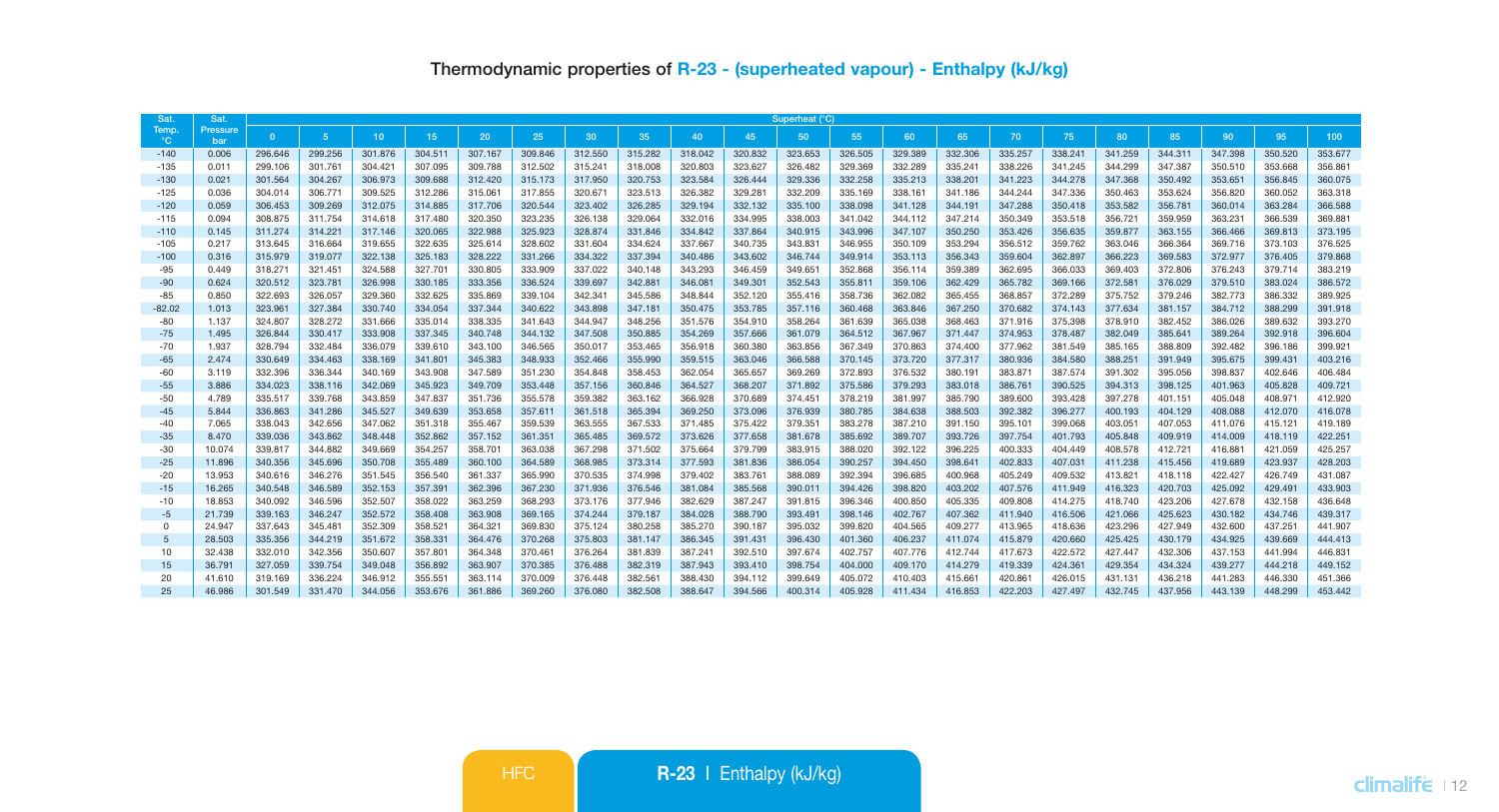| Sat                   | Sat             | Superheat (°C)     |                    |                    |                    |                    |                    |                    |                    |                    |                    |                    |                    |                    |                    |                    |                    |                    |                    |                    |                    |                    |
|-----------------------|-----------------|--------------------|--------------------|--------------------|--------------------|--------------------|--------------------|--------------------|--------------------|--------------------|--------------------|--------------------|--------------------|--------------------|--------------------|--------------------|--------------------|--------------------|--------------------|--------------------|--------------------|--------------------|
| Temp.<br>$^{\circ}$ C | Pressure<br>bar | $\Omega$           | 5 <sub>1</sub>     | 10                 | 15 <sup>1</sup>    | 20                 | 25                 | 30                 | 35                 | 40                 | 45                 | 50                 | 55                 | 60                 | 65                 | 70                 | 75                 | 80                 | 85                 | 90                 | 95                 | 100                |
| $-140$                | 0.006           | 296,646            | 299,256            | 301.876            | 304.511            | 307.167            | 309,846            | 312,550            | 315,282            | 318,042            | 320,832            | 323.653            | 326,505            | 329,389            | 332,306            | 335,257            | 338.241            | 341.259            | 344.311            | 347.398            | 350,520            | 353,677            |
| $-135$                | 0.011           | 299.106            | 301.761            | 304.421            | 307.095            | 309,788            | 312.502            | 315.241            | 318,008            | 320,803            | 323.627            | 326,482            | 329.369            | 332.289            | 335.241            | 338,226            | 341.245            | 344.299            | 347.387            | 350,510            | 353,668            | 356,861            |
| $-130$                | 0.021           | 301.564            | 304.267            | 306,973            | 309,688            | 312,420            | 315.173            | 317,950            | 320.753            | 323,584            | 326.444            | 329,336            | 332.258            | 335.213            | 338,201            | 341.223            | 344.278            | 347,368            | 350,492            | 353,651            | 356,845            | 360,075            |
| $-125$                | 0.036           | 304.014            | 306,771            | 309,525            | 312.286            | 315,061            | 317,855            | 320,671            | 323,513            | 326,382            | 329,281            | 332,209            | 335.169            | 338,161            | 341.186            | 344,244            | 347.336            | 350.463            | 353.624            | 356,820            | 360,052            | 363,318            |
| $-120$                | 0.059           | 306,453            | 309.269            | 312.075            | 314,885            | 317.706            | 320,544            | 323.402            | 326.285            | 329.194            | 332.132            | 335.100            | 338.098            | 341.128            | 344.191            | 347,288            | 350.418            | 353,582            | 356.781            | 360.014            | 363,284            | 366,588            |
| $-115$                | 0.094           | 308,875            | 311.754            | 314,618            | 317,480            | 320.350            | 323.235            | 326.138            | 329.064            | 332.016            | 334.995            | 338,003            | 341.042            | 344,112            | 347,214            | 350,349            | 353.518            | 356,721            | 359,959            | 363,231            | 366,539            | 369,881            |
| $-110$                | 0.145           | 311.274            | 314.221            | 317.146            | 320.065            | 322.988            | 325.923            | 328.874            | 331.846            | 334.842            | 337.864            | 340.915            | 343.996            | 347.107            | 350.250            | 353.426            | 356.635            | 359.877            | 363.155            | 366.466            | 369.813            | 373.195            |
| $-105$                | 0.217           | 313,645            | 316,664            | 319,655            | 322.635            | 325.614            | 328,602            | 331,604            | 334,624            | 337.667            | 340.735            | 343.831            | 346.955            | 350.109            | 353.294            | 356.512            | 359.762            | 363,046            | 366,364            | 369,716            | 373.103            | 376,525            |
| $-100$                | 0.316           | 315,979            | 319,077            | 322.138            | 325.183            | 328,222            | 331.266            | 334,322            | 337,394            | 340,486            | 343,602            | 346,744            | 349.914            | 353.113            | 356,343            | 359,604            | 362,897            | 366,223            | 369,583            | 372,977            | 376,405            | 379,868            |
| $-95$                 | 0.449           | 318,271            | 321.451            | 324,588            | 327.701            | 330.805            | 333.909            | 337.022            | 340,148            | 343.293            | 346.459            | 349.651            | 352.868            | 356.114            | 359.389            | 362.695            | 366.033            | 369,403            | 372.806            | 376,243            | 379.714            | 383.219            |
| $-90$                 | 0.624<br>0.850  | 320,512            | 323.781            | 326,998            | 330.185<br>332.625 | 333,356<br>335,869 | 336,524            | 339,697<br>342.341 | 342,881<br>345,586 | 346,081            | 349,301            | 352,543            | 355,811<br>358,736 | 359.106            | 362,429            | 365.782<br>368,857 | 369.166<br>372,289 | 372,581            | 376,029<br>379,246 | 379,510<br>382,773 | 383.024<br>386,332 | 386,572<br>389,925 |
| $-85$<br>$-82.02$     |                 | 322,693<br>323.961 | 326,057            | 329,360<br>330,740 | 334,054            |                    | 339.104            | 343,898            | 347.181            | 348,844            | 352.120            | 355.416<br>357,116 | 360,468            | 362.082            | 365,455<br>367,250 | 370.682            | 374,143            | 375,752<br>377,634 |                    | 384,712            | 388,299            | 391.918            |
| $-80$                 | 1.013<br>1.137  | 324.807            | 327.384<br>328,272 | 331,666            | 335.014            | 337.344<br>338,335 | 340.622<br>341.643 | 344,947            | 348,256            | 350.475<br>351.576 | 353.785<br>354,910 | 358,264            | 361.639            | 363.846<br>365,038 | 368,463            | 371.916            | 375,398            | 378,910            | 381.157<br>382.452 | 386.026            | 389,632            | 393,270            |
| $-75$                 | 1.495           | 326,844            | 330,417            | 333,908            | 337,345            | 340,748            | 344.132            | 347,508            | 350,885            | 354,269            | 357,666            | 361.079            | 364,512            | 367,967            | 371,447            | 374.953            | 378,487            | 382.049            | 385.641            | 389,264            | 392.918            | 396,604            |
| $-70$                 | 1.937           | 328,794            | 332,484            | 336,079            | 339,610            | 343.100            | 346,565            | 350,017            | 353,465            | 356,918            | 360.380            | 363,856            | 367.349            | 370,863            | 374,400            | 377,962            | 381,549            | 385.165            | 388,809            | 392.482            | 396,186            | 399.921            |
| $-65$                 | 2.474           | 330,649            | 334.463            | 338,169            | 341.801            | 345,383            | 348,933            | 352,466            | 355,990            | 359,515            | 363,046            | 366.588            | 370.145            | 373,720            | 377,317            | 380,936            | 384,580            | 388,251            | 391.949            | 395.675            | 399,431            | 403.216            |
| $-60$                 | 3.119           | 332,396            | 336.344            | 340.169            | 343,908            | 347.589            | 351.230            | 354,848            | 358.453            | 362.054            | 365.657            | 369,269            | 372.893            | 376.532            | 380.191            | 383.871            | 387,574            | 391,302            | 395.056            | 398,837            | 402.646            | 406.484            |
| $-55$                 | 3.886           | 334,023            | 338.116            | 342,069            | 345,923            | 349,709            | 353,448            | 357.156            | 360,846            | 364,527            | 368.207            | 371,892            | 375,586            | 379.293            | 383,018            | 386,761            | 390,525            | 394.313            | 398.125            | 401.963            | 405.828            | 409,721            |
| $-50$                 | 4.789           | 335.517            | 339,768            | 343,859            | 347.837            | 351.736            | 355,578            | 359,382            | 363.162            | 366,928            | 370,689            | 374.451            | 378,219            | 381,997            | 385,790            | 389,600            | 393.428            | 397,278            | 401.151            | 405.048            | 408.971            | 412.920            |
| $-45$                 | 5.844           | 336.863            | 341.286            | 345.527            | 349.639            | 353.658            | 357.611            | 361.518            | 365,394            | 369.250            | 373.096            | 376,939            | 380.785            | 384.638            | 388,503            | 392.382            | 396,277            | 400.193            | 404.129            | 408.088            | 412.070            | 416.078            |
| $-40$                 | 7.065           | 338,043            | 342,656            | 347,062            | 351.318            | 355.467            | 359,539            | 363.555            | 367,533            | 371.485            | 375.422            | 379,351            | 383.278            | 387.210            | 391.150            | 395.101            | 399.068            | 403.051            | 407.053            | 411.076            | 415.121            | 419.189            |
| $-35$                 | 8.470           | 339,036            | 343,862            | 348,448            | 352,862            | 357.152            | 361.351            | 365,485            | 369,572            | 373.626            | 377,658            | 381,678            | 385.692            | 389,707            | 393,726            | 397,754            | 401.793            | 405.848            | 409.919            | 414.009            | 418.119            | 422.251            |
| $-30$                 | 10.074          | 339,817            | 344,882            | 349,669            | 354.257            | 358,701            | 363,038            | 367.298            | 371,502            | 375,664            | 379.799            | 383,915            | 388,020            | 392.122            | 396.225            | 400.333            | 404.449            | 408,578            | 412.721            | 416.881            | 421.059            | 425.257            |
| $-25$                 | 11,896          | 340,356            | 345,696            | 350,708            | 355,489            | 360,100            | 364,589            | 368,985            | 373,314            | 377,593            | 381,836            | 386,054            | 390,257            | 394,450            | 398,641            | 402.833            | 407.031            | 411.238            | 415.456            | 419.689            | 423.937            | 428,203            |
| $-20$                 | 13,953          | 340,616            | 346,276            | 351,545            | 356,540            | 361.337            | 365,990            | 370,535            | 374,998            | 379,402            | 383,761            | 388,089            | 392.394            | 396,685            | 400.968            | 405.249            | 409.532            | 413.821            | 418.118            | 422.427            | 426,749            | 431.087            |
| $-15$                 | 16.265          | 340,548            | 346,589            | 352.153            | 357.391            | 362,396            | 367,230            | 371,936            | 376,546            | 381.084            | 385,568            | 390,011            | 394,426            | 398.820            | 403.202            | 407.576            | 411.949            | 416,323            | 420.703            | 425.092            | 429,491            | 433,903            |
| $-10$                 | 18.853          | 340.092            | 346,596            | 352,507            | 358,022            | 363,259            | 368,293            | 373,176            | 377,946            | 382.629            | 387,247            | 391.815            | 396,346            | 400.850            | 405.335            | 409,808            | 414.275            | 418,740            | 423.206            | 427.678            | 432.158            | 436,648            |
| $-5$                  | 21,739          | 339.163            | 346.247            | 352.572            | 358.408            | 363.908            | 369.165            | 374,244            | 379,187            | 384,028            | 388.790            | 393,491            | 398.146            | 402.767            | 407.362            | 411.940            | 416,506            | 421.066            | 425.623            | 430.182            | 434,746            | 439.317            |
| $\Omega$              | 24,947          | 337,643            | 345,481            | 352,309            | 358,521            | 364.321            | 369,830            | 375.124            | 380,258            | 385,270            | 390.187            | 395.032            | 399,820            | 404.565            | 409.277            | 413.965            | 418.636            | 423.296            | 427.949            | 432.600            | 437.251            | 441.907            |
| $\overline{5}$        | 28,503          | 335,356            | 344.219            | 351.672            | 358,331            | 364,476            | 370,268            | 375,803            | 381.147            | 386,345            | 391.431            | 396,430            | 401.360            | 406,237            | 411.074            | 415,879            | 420.660            | 425.425            | 430.179            | 434.925            | 439,669            | 444,413            |
| 10                    | 32,438          | 332.010            | 342.356            | 350,607            | 357.801            | 364,348            | 370,461            | 376.264            | 381,839            | 387.241            | 392.510            | 397.674            | 402.757            | 407.776            | 412,744            | 417.673            | 422.572            | 427.447            | 432.306            | 437.153            | 441.994            | 446,831            |
| 15                    | 36,791          | 327.059            | 339.754            | 349,048            | 356,892            | 363,907            | 370.385            | 376,488            | 382,319            | 387.943            | 393,410            | 398,754            | 404.000            | 409.170            | 414,279            | 419,339            | 424.361            | 429.354            | 434.324            | 439,277            | 444,218            | 449.152            |
| 20                    | 41,610          | 319,169            | 336,224            | 346.912            | 355.551            | 363.114            | 370,009            | 376,448            | 382.561            | 388,430            | 394.112            | 399.649            | 405.072            | 410.403            | 415,661            | 420.861            | 426.015            | 431.131            | 436.218            | 441.283            | 446,330            | 451.366            |
| 25                    | 46,986          | 301.549            | 331.470            | 344.056            | 353.676            | 361.886            | 369.260            | 376.080            | 382.508            | 388.647            | 394.566            | 400.314            | 405.928            | 411.434            | 416.853            | 422.203            | 427,497            | 432.745            | 437.956            | 443.139            | 448.299            | 453,442            |